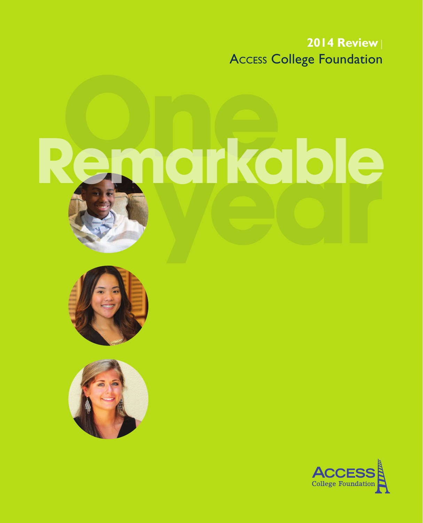**2014 Review** | Access College Foundation

# **Remarkable**





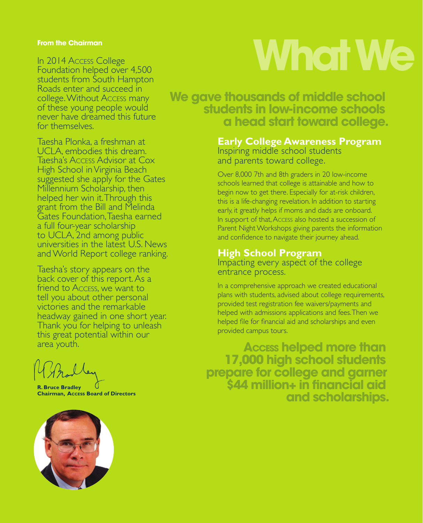#### **From the Chairman**

In 2014 Access College Foundation helped over 4,500 students from South Hampton Roads enter and succeed in college. Without Access many of these young people would never have dreamed this future for themselves.

Taesha Plonka, a freshman at UCLA, embodies this dream. Taesha's Access Advisor at Cox High School in Virginia Beach suggested she apply for the Gates Millennium Scholarship, then helped her win it. Through this grant from the Bill and Melinda Gates Foundation, Taesha earned a full four-year scholarship to UCLA, 2nd among public universities in the latest U.S. News and World Report college ranking.

Taesha's story appears on the back cover of this report. As a friend to Access, we want to tell you about other personal victories and the remarkable headway gained in one short year. Thank you for helping to unleash this great potential within our area youth.

**R. Bruce Bradley Chairman, Access Board of Directors**



## **What We**

**We gave thousands of middle school. in head start toward college.** 

#### **Early College Awareness Program**  Inspiring middle school students and parents toward college.

Over 8,000 7th and 8th graders in 20 low-income schools learned that college is attainable and how to begin now to get there. Especially for at-risk children, this is a life-changing revelation. In addition to starting early, it greatly helps if moms and dads are onboard. In support of that, Access also hosted a succession of Parent Night Workshops giving parents the information and confidence to navigate their journey ahead.

#### **High School Program**

Impacting every aspect of the college entrance process.

In a comprehensive approach we created educational plans with students, advised about college requirements, provided test registration fee waivers/payments and helped with admissions applications and fees. Then we helped file for financial aid and scholarships and even provided campus tours.

**Access helped more than. 17,000 high school students. prepare for college and garner. \$44 million+ in financial aid. and scholarships.**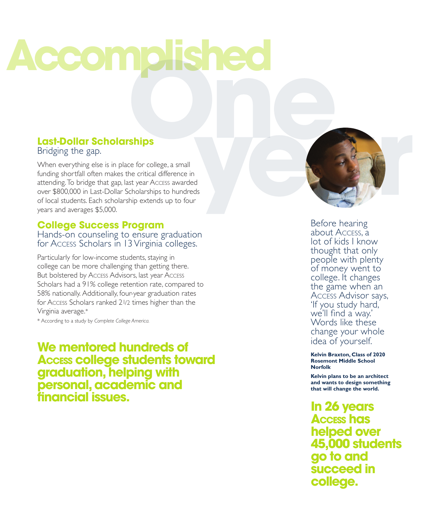## **Accomplis**

#### **Last-Dollar Scholarships** Bridging the gap.

When everything else is in place for college, a small funding shortfall often makes the critical difference in attending. To bridge that gap, last year Access awarded over \$800,000 in Last-Dollar Scholarships to hundreds of local students. Each scholarship extends up to four years and averages \$5,000.

#### **College Success Program** Hands-on counseling to ensure graduation for Access Scholars in 13 Virginia colleges.

Particularly for low-income students, staying in college can be more challenging than getting there. But bolstered by Access Advisors, last year Access Scholars had a 91% college retention rate, compared to 58% nationally. Additionally, four-year graduation rates for Access Scholars ranked 2 1/2 times higher than the Virginia average. \*

\* According to a study by *Complete College America.*

**We mentored hundreds of Access college students toward graduation, helping with personal, academic and financial issues.** 



Before hearing about Access, a lot of kids I know thought that only people with plenty of money went to college. It changes Access Advisor says, 'If you study hard, we'll find a way.' Words like these change your whole idea of yourself.

**Kelvin Braxton, Class of 2020 Rosemont Middle School Norfolk**

**Kelvin plans to be an architect and wants to design something that will change the world.**

**In 26 years Access has helped over 45,000 students go to and succeed in college.**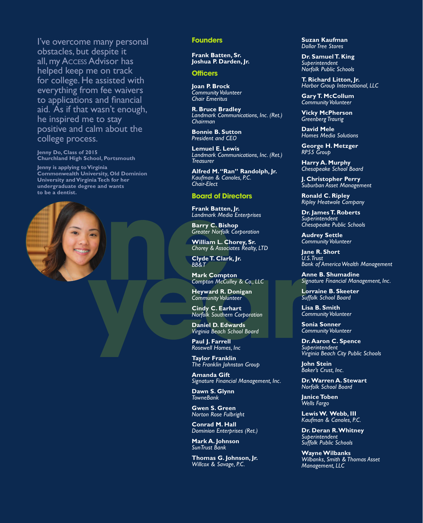I've overcome many personal obstacles, but despite it all, my Access Advisor has helped keep me on track for college. He assisted with everything from fee waivers to applications and financial aid. As if that wasn't enough, he inspired me to stay positive and calm about the college process.

**Jenny Do, Class of 2015 Churchland High School, Portsmouth**

**Jenny is applying to Virginia Commonwealth University, Old Dominion University and Virginia Tech for her undergraduate degree and wants to be a dentist.** 



#### **Founders**

**Frank Batten, Sr. Joshua P. Darden, Jr.**

#### **Officers**

**Joan P. Brock** *Community Volunteer Chair Emeritus*

**R. Bruce Bradley** *Landmark Communications, Inc. (Ret.) Chairman*

**Bonnie B. Sutton** *President and CEO*

**Lemuel E. Lewis** *Landmark Communications, Inc. (Ret.) Treasurer*

**Alfred M. "Ran" Randolph, Jr.** *Kaufman & Canoles, P.C. Chair-Elect*

#### **Board of Directors**

**Frank Batten, Jr.** *Landmark Media Enterprises*

**Barry C. Bishop** *Greater Norfolk Corporation*

**William L. Chorey, Sr.** *Chorey & Associates Realty, LTD*

**Clyde T. Clark, Jr.** *BB&T*

**Mark Compton** *Compton McCulley & Co., LLC*

**Heyward R. Donigan** *Community Volunteer*

**Cindy C. Earhart** *Norfolk Southern Corporation*

**Daniel D. Edwards** *Virginia Beach School Board*

**Paul J. Farrell** *Rosewell Homes, Inc*

**Taylor Franklin** *The Franklin Johnston Group*

**Amanda Gift** *Signature Financial Management, Inc.*

**Dawn S. Glynn** *TowneBank*

**Gwen S. Green** *Norton Rose Fulbright*

**Conrad M. Hall** *Dominion Enterprises (Ret.)*

**Mark A. Johnson** *SunTrust Bank*

**Thomas G. Johnson, Jr.** *Willcox & Savage, P.C.* 

**Suzan Kaufman** *Dollar Tree Stores*

**Dr. Samuel T. King** *Superintendent Norfolk Public Schools*

**T. Richard Litton, Jr.** *Harbor Group International, LLC*

**Gary T. McCollum** *Community Volunteer* 

**Vicky McPherson** *Greenberg Traurig*

**David Mele** *Homes Media Solutions*

**George H. Metzger** *RP55 Group*

**Harry A. Murphy** *Chesapeake School Board*

**J. Christopher Perry** *Suburban Asset Management*

**Ronald C. Ripley** *Ripley Heatwole Company*

**Dr. James T. Roberts** *Superintendent Chesapeake Public Schools*

**Audrey Settle** *Community Volunteer*

**Jane R. Short** *U.S. Trust Bank of America Wealth Management*

**Anne B. Shumadine** *Signature Financial Management, Inc.*

**Lorraine B. Skeeter** *Suffolk School Board*

**Lisa B. Smith** *Community Volunteer*

**Sonia Sonner** *Community Volunteer*

**Dr. Aaron C. Spence** *Superintendent Virginia Beach City Public Schools*

**John Stein** *Baker's Crust, Inc.*

**Dr. Warren A. Stewart** *Norfolk School Board*

**Janice Toben** *Wells Fargo*

**Lewis W. Webb, III** *Kaufman & Canoles, P.C.*

**Dr. Deran R. Whitney** *Superintendent Suffolk Public Schools*

**Wayne Wilbanks** *Wilbanks, Smith & Thomas Asset Management, LLC*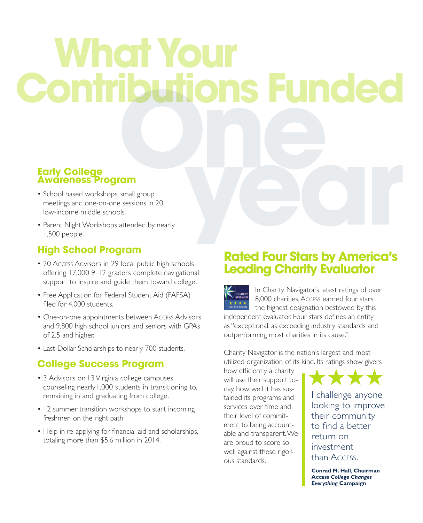### **What Your Contributions Funded**

#### **Early College Awareness Program**

- School based workshops, small group meetings and one-on-one sessions in 20 low-income middle schools.
- Parent Night Workshops attended by nearly 1,500 people.

#### **High School Program**

- 20 Access Advisors in 29 local public high schools offering 17,000 9–12 graders complete navigational support to inspire and guide them toward college.
- Free Application for Federal Student Aid (FAFSA) filed for 4,000 students.
- One-on-one appointments between Access Advisors and 9,800 high school juniors and seniors with GPAs of 2.5 and higher.
- Last-Dollar Scholarships to nearly 700 students.

#### **College Success Program**

- 3 Advisors on 13 Virginia college campuses counseling nearly 1,000 students in transitioning to, remaining in and graduating from college.
- 12 summer transition workshops to start incoming freshmen on the right path.
- Help in re-applying for financial aid and scholarships, totaling more than \$5.6 million in 2014.

#### **Rated Four Stars by America's Leading Charity Evaluator**

In Charity Navigator's latest ratings of over CHARITY 8,000 charities, Access earned four stars,  $\star\star\star\star$ <br>Four Star Charity the highest designation bestowed by this independent evaluator. Four stars defines an entity as "exceptional, as exceeding industry standards and outperforming most charities in its cause."

Charity Navigator is the nation's largest and most utilized organization of its kind. Its ratings show givers

how efficiently a charity will use their support today, how well it has sustained its programs and services over time and their level of commitment to being accountable and transparent. We are proud to score so well against these rigorous standards.

I challenge anyone looking to improve their community to find a better return on investment than Access. \*\*\*\*

**Conrad M. Hall, Chairman Access** *College Changes Everything* **Campaign**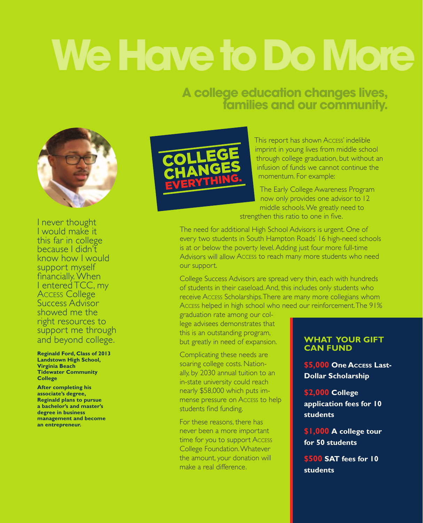## **We Have to Do More**

#### **A college education changes lives, families and our community.**



I never thought I would make it this far in college because I didn't know how I would support myself financially. When I entered TCC, my Access College Success Advisor showed me the right resources to support me through and beyond college.

**Reginald Ford, Class of 2013 Landstown High School, Virginia Beach Tidewater Community College**

**After completing his associate's degree, Reginald plans to pursue a bachelor's and master's degree in business management and become an entrepreneur.**



This report has shown Access' indelible imprint in young lives from middle school through college graduation, but without an infusion of funds we cannot continue the momentum. For example:

The Early College Awareness Program now only provides one advisor to 12 middle schools. We greatly need to strengthen this ratio to one in five.

The need for additional High School Advisors is urgent. One of every two students in South Hampton Roads' 16 high-need schools is at or below the poverty level. Adding just four more full-time Advisors will allow Access to reach many more students who need our support.

College Success Advisors are spread very thin, each with hundreds of students in their caseload. And, this includes only students who receive Access Scholarships. There are many more collegians whom Access helped in high school who need our reinforcement. The 91%

graduation rate among our college advisees demonstrates that this is an outstanding program, but greatly in need of expansion.

Complicating these needs are soaring college costs. Nationally, by 2030 annual tuition to an in-state university could reach nearly \$58,000 which puts immense pressure on Access to help students find funding.

For these reasons, there has never been a more important time for you to support Access College Foundation. Whatever the amount, your donation will make a real difference.

#### **What Your Gift Can Fund**

**\$5,000 One Access Last-Dollar Scholarship**

**\$2,000 College application fees for 10 students**

**\$1,000 A college tour for 50 students**

**\$500 SAT fees for 10 students**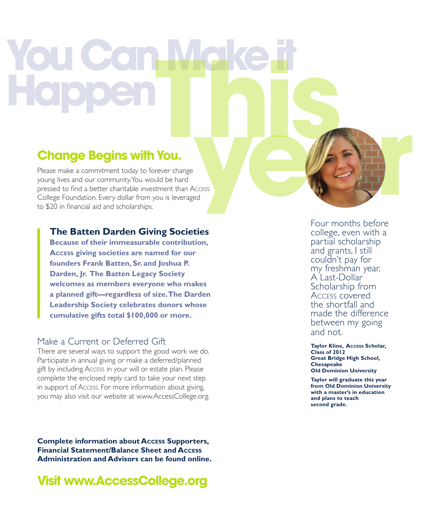## **You Can Make it Happen**<br>**Happen**<br>Change Beains with You.

#### **Change Begins with You.**

Please make a commitment today to forever change young lives and our community. You would be hard pressed to find a better charitable investment than Access College Foundation. Every dollar from you is leveraged to \$20 in financial aid and scholarships.

#### **The Batten Darden Giving Societies**

 **Because of their immeasurable contribution, Access giving societies are named for our founders Frank Batten, Sr. and Joshua P. Darden, Jr. The Batten Legacy Society welcomes as members everyone who makes a planned gift—regardless of size. The Darden Leadership Society celebrates donors whose cumulative gifts total \$100,000 or more.** 

#### Make a Current or Deferred Gift

There are several ways to support the good work we do. Participate in annual giving or make a deferred/planned gift by including Access in your will or estate plan. Please complete the enclosed reply card to take your next step in support of Access. For more information about giving, you may also visit our website at www.AccessCollege.org.

**Complete information about Access Supporters, Financial Statement/Balance Sheet and Access Administration and Advisors can be found online.**

**Visit www.AccessCollege.org**

Four months before college, even with a partial scholarship and grants, I still couldn't pay for my freshman year. A Last-Dollar Scholarship from Access covered the shortfall and made the difference between my going and not.

**Taylor Kline, Access Scholar, Class of 2012 Great Bridge High School, Chesapeake Old Dominion University**

**Taylor will graduate this year from Old Dominion University with a master's in education and plans to teach second grade.**